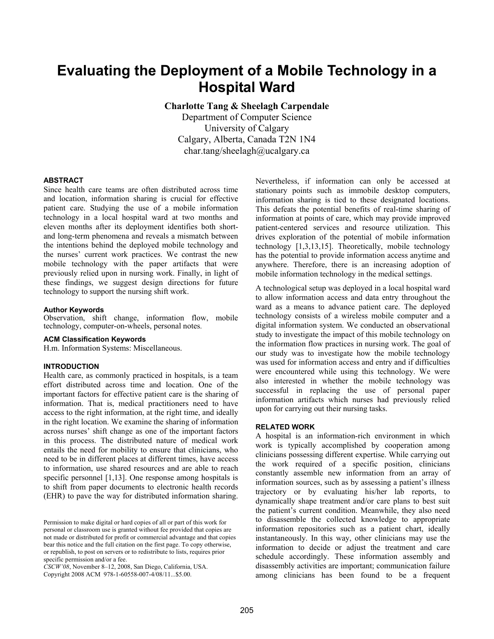# **Evaluating the Deployment of a Mobile Technology in a Hospital Ward**

**Charlotte Tang & Sheelagh Carpendale** 

Department of Computer Science University of Calgary Calgary, Alberta, Canada T2N 1N4 char.tang/sheelagh@ucalgary.ca

#### **ABSTRACT**

Since health care teams are often distributed across time and location, information sharing is crucial for effective patient care. Studying the use of a mobile information technology in a local hospital ward at two months and eleven months after its deployment identifies both shortand long-term phenomena and reveals a mismatch between the intentions behind the deployed mobile technology and the nurses' current work practices. We contrast the new mobile technology with the paper artifacts that were previously relied upon in nursing work. Finally, in light of these findings, we suggest design directions for future technology to support the nursing shift work.

#### **Author Keywords**

Observation, shift change, information flow, mobile technology, computer-on-wheels, personal notes.

#### **ACM Classification Keywords**

H.m. Information Systems: Miscellaneous.

## **INTRODUCTION**

Health care, as commonly practiced in hospitals, is a team effort distributed across time and location. One of the important factors for effective patient care is the sharing of information. That is, medical practitioners need to have access to the right information, at the right time, and ideally in the right location. We examine the sharing of information across nurses' shift change as one of the important factors in this process. The distributed nature of medical work entails the need for mobility to ensure that clinicians, who need to be in different places at different times, have access to information, use shared resources and are able to reach specific personnel [1,13]. One response among hospitals is to shift from paper documents to electronic health records (EHR) to pave the way for distributed information sharing.

*CSCW'08*, November 8–12, 2008, San Diego, California, USA. Copyright 2008 ACM 978-1-60558-007-4/08/11...\$5.00.

Nevertheless, if information can only be accessed at stationary points such as immobile desktop computers, information sharing is tied to these designated locations. This defeats the potential benefits of real-time sharing of information at points of care, which may provide improved patient-centered services and resource utilization. This drives exploration of the potential of mobile information technology [1,3,13,15]. Theoretically, mobile technology has the potential to provide information access anytime and anywhere. Therefore, there is an increasing adoption of mobile information technology in the medical settings.

A technological setup was deployed in a local hospital ward to allow information access and data entry throughout the ward as a means to advance patient care. The deployed technology consists of a wireless mobile computer and a digital information system. We conducted an observational study to investigate the impact of this mobile technology on the information flow practices in nursing work. The goal of our study was to investigate how the mobile technology was used for information access and entry and if difficulties were encountered while using this technology. We were also interested in whether the mobile technology was successful in replacing the use of personal paper information artifacts which nurses had previously relied upon for carrying out their nursing tasks.

## **RELATED WORK**

A hospital is an information-rich environment in which work is typically accomplished by cooperation among clinicians possessing different expertise. While carrying out the work required of a specific position, clinicians constantly assemble new information from an array of information sources, such as by assessing a patient's illness trajectory or by evaluating his/her lab reports, to dynamically shape treatment and/or care plans to best suit the patient's current condition. Meanwhile, they also need to disassemble the collected knowledge to appropriate information repositories such as a patient chart, ideally instantaneously. In this way, other clinicians may use the information to decide or adjust the treatment and care schedule accordingly. These information assembly and disassembly activities are important; communication failure among clinicians has been found to be a frequent

Permission to make digital or hard copies of all or part of this work for personal or classroom use is granted without fee provided that copies are not made or distributed for profit or commercial advantage and that copies bear this notice and the full citation on the first page. To copy otherwise, or republish, to post on servers or to redistribute to lists, requires prior specific permission and/or a fee.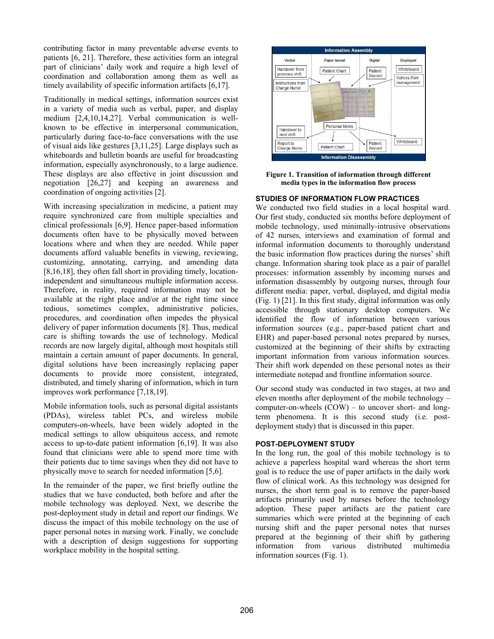contributing factor in many preventable adverse events to patients [6, 21]. Therefore, these activities form an integral part of clinicians' daily work and require a high level of coordination and collaboration among them as well as timely availability of specific information artifacts [6,17].

Traditionally in medical settings, information sources exist in a variety of media such as verbal, paper, and display medium [2,4,10,14,27]. Verbal communication is wellknown to be effective in interpersonal communication, particularly during face-to-face conversations with the use of visual aids like gestures [3,11,25]. Large displays such as whiteboards and bulletin boards are useful for broadcasting information, especially asynchronously, to a large audience. These displays are also effective in joint discussion and negotiation [26,27] and keeping an awareness and coordination of ongoing activities [2].

With increasing specialization in medicine, a patient may require synchronized care from multiple specialties and clinical professionals [6,9]. Hence paper-based information documents often have to be physically moved between locations where and when they are needed. While paper documents afford valuable benefits in viewing, reviewing, customizing, annotating, carrying, and amending data [8,16,18], they often fall short in providing timely, locationindependent and simultaneous multiple information access. Therefore, in reality, required information may not be available at the right place and/or at the right time since tedious, sometimes complex, administrative policies, procedures, and coordination often impedes the physical delivery of paper information documents [8]. Thus, medical care is shifting towards the use of technology. Medical records are now largely digital, although most hospitals still maintain a certain amount of paper documents. In general, digital solutions have been increasingly replacing paper documents to provide more consistent, integrated, distributed, and timely sharing of information, which in turn improves work performance [7,18,19].

Mobile information tools, such as personal digital assistants (PDAs), wireless tablet PCs, and wireless mobile computers-on-wheels, have been widely adopted in the medical settings to allow ubiquitous access, and remote access to up-to-date patient information [6,19]. It was also found that clinicians were able to spend more time with their patients due to time savings when they did not have to physically move to search for needed information [5,6].

In the remainder of the paper, we first briefly outline the studies that we have conducted, both before and after the mobile technology was deployed. Next, we describe the post-deployment study in detail and report our findings. We discuss the impact of this mobile technology on the use of paper personal notes in nursing work. Finally, we conclude with a description of design suggestions for supporting workplace mobility in the hospital setting.



**Figure 1. Transition of information through different media types in the information flow process** 

## **STUDIES OF INFORMATION FLOW PRACTICES**

We conducted two field studies in a local hospital ward. Our first study, conducted six months before deployment of mobile technology, used minimally-intrusive observations of 42 nurses, interviews and examination of formal and informal information documents to thoroughly understand the basic information flow practices during the nurses' shift change. Information sharing took place as a pair of parallel processes: information assembly by incoming nurses and information disassembly by outgoing nurses, through four different media: paper, verbal, displayed, and digital media (Fig. 1) [21]. In this first study, digital information was only accessible through stationary desktop computers. We identified the flow of information between various information sources (e.g., paper-based patient chart and EHR) and paper-based personal notes prepared by nurses, customized at the beginning of their shifts by extracting important information from various information sources. Their shift work depended on these personal notes as their intermediate notepad and frontline information source.

Our second study was conducted in two stages, at two and eleven months after deployment of the mobile technology – computer-on-wheels (COW) – to uncover short- and longterm phenomena. It is this second study (i.e. postdeployment study) that is discussed in this paper.

## **POST-DEPLOYMENT STUDY**

In the long run, the goal of this mobile technology is to achieve a paperless hospital ward whereas the short term goal is to reduce the use of paper artifacts in the daily work flow of clinical work. As this technology was designed for nurses, the short term goal is to remove the paper-based artifacts primarily used by nurses before the technology adoption. These paper artifacts are the patient care summaries which were printed at the beginning of each nursing shift and the paper personal notes that nurses prepared at the beginning of their shift by gathering information from various distributed multimedia information sources (Fig. 1).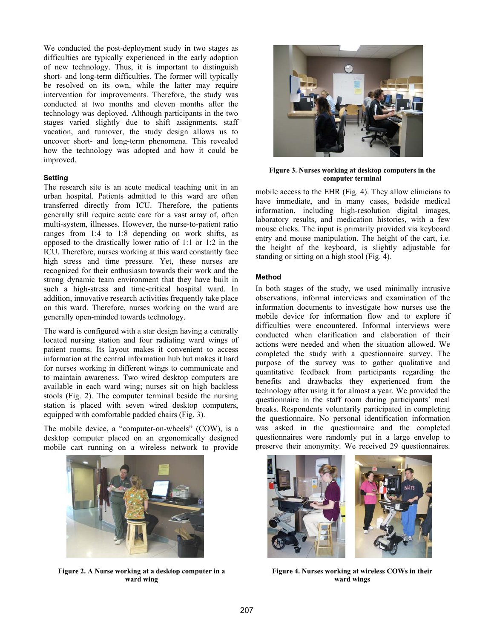We conducted the post-deployment study in two stages as difficulties are typically experienced in the early adoption of new technology. Thus, it is important to distinguish short- and long-term difficulties. The former will typically be resolved on its own, while the latter may require intervention for improvements. Therefore, the study was conducted at two months and eleven months after the technology was deployed. Although participants in the two stages varied slightly due to shift assignments, staff vacation, and turnover, the study design allows us to uncover short- and long-term phenomena. This revealed how the technology was adopted and how it could be improved.

## **Setting**

The research site is an acute medical teaching unit in an urban hospital. Patients admitted to this ward are often transferred directly from ICU. Therefore, the patients generally still require acute care for a vast array of, often multi-system, illnesses. However, the nurse-to-patient ratio ranges from 1:4 to 1:8 depending on work shifts, as opposed to the drastically lower ratio of 1:1 or 1:2 in the ICU. Therefore, nurses working at this ward constantly face high stress and time pressure. Yet, these nurses are recognized for their enthusiasm towards their work and the strong dynamic team environment that they have built in such a high-stress and time-critical hospital ward. In addition, innovative research activities frequently take place on this ward. Therefore, nurses working on the ward are generally open-minded towards technology.

The ward is configured with a star design having a centrally located nursing station and four radiating ward wings of patient rooms. Its layout makes it convenient to access information at the central information hub but makes it hard for nurses working in different wings to communicate and to maintain awareness. Two wired desktop computers are available in each ward wing; nurses sit on high backless stools (Fig. 2). The computer terminal beside the nursing station is placed with seven wired desktop computers, equipped with comfortable padded chairs (Fig. 3).

The mobile device, a "computer-on-wheels" (COW), is a desktop computer placed on an ergonomically designed mobile cart running on a wireless network to provide



**Figure 2. A Nurse working at a desktop computer in a ward wing** 



**Figure 3. Nurses working at desktop computers in the computer terminal** 

mobile access to the EHR (Fig. 4). They allow clinicians to have immediate, and in many cases, bedside medical information, including high-resolution digital images, laboratory results, and medication histories, with a few mouse clicks. The input is primarily provided via keyboard entry and mouse manipulation. The height of the cart, i.e. the height of the keyboard, is slightly adjustable for standing or sitting on a high stool (Fig. 4).

#### **Method**

In both stages of the study, we used minimally intrusive observations, informal interviews and examination of the information documents to investigate how nurses use the mobile device for information flow and to explore if difficulties were encountered. Informal interviews were conducted when clarification and elaboration of their actions were needed and when the situation allowed. We completed the study with a questionnaire survey. The purpose of the survey was to gather qualitative and quantitative feedback from participants regarding the benefits and drawbacks they experienced from the technology after using it for almost a year. We provided the questionnaire in the staff room during participants' meal breaks. Respondents voluntarily participated in completing the questionnaire. No personal identification information was asked in the questionnaire and the completed questionnaires were randomly put in a large envelop to preserve their anonymity. We received 29 questionnaires.



**Figure 4. Nurses working at wireless COWs in their ward wings**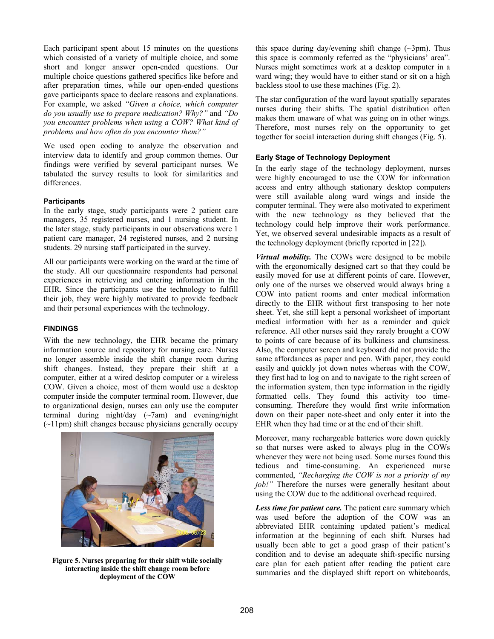Each participant spent about 15 minutes on the questions which consisted of a variety of multiple choice, and some short and longer answer open-ended questions. Our multiple choice questions gathered specifics like before and after preparation times, while our open-ended questions gave participants space to declare reasons and explanations. For example, we asked *"Given a choice, which computer do you usually use to prepare medication? Why?"* and *"Do you encounter problems when using a COW? What kind of problems and how often do you encounter them?"*

We used open coding to analyze the observation and interview data to identify and group common themes. Our findings were verified by several participant nurses. We tabulated the survey results to look for similarities and differences.

## **Participants**

In the early stage, study participants were 2 patient care managers, 35 registered nurses, and 1 nursing student. In the later stage, study participants in our observations were 1 patient care manager, 24 registered nurses, and 2 nursing students. 29 nursing staff participated in the survey.

All our participants were working on the ward at the time of the study. All our questionnaire respondents had personal experiences in retrieving and entering information in the EHR. Since the participants use the technology to fulfill their job, they were highly motivated to provide feedback and their personal experiences with the technology.

# **FINDINGS**

With the new technology, the EHR became the primary information source and repository for nursing care. Nurses no longer assemble inside the shift change room during shift changes. Instead, they prepare their shift at a computer, either at a wired desktop computer or a wireless COW. Given a choice, most of them would use a desktop computer inside the computer terminal room. However, due to organizational design, nurses can only use the computer terminal during night/day  $(\sim 7$ am) and evening/night (~11pm) shift changes because physicians generally occupy



**Figure 5. Nurses preparing for their shift while socially interacting inside the shift change room before deployment of the COW** 

this space during day/evening shift change  $(\sim 3 \text{pm})$ . Thus this space is commonly referred as the "physicians' area". Nurses might sometimes work at a desktop computer in a ward wing; they would have to either stand or sit on a high backless stool to use these machines (Fig. 2).

The star configuration of the ward layout spatially separates nurses during their shifts. The spatial distribution often makes them unaware of what was going on in other wings. Therefore, most nurses rely on the opportunity to get together for social interaction during shift changes (Fig. 5).

# **Early Stage of Technology Deployment**

In the early stage of the technology deployment, nurses were highly encouraged to use the COW for information access and entry although stationary desktop computers were still available along ward wings and inside the computer terminal. They were also motivated to experiment with the new technology as they believed that the technology could help improve their work performance. Yet, we observed several undesirable impacts as a result of the technology deployment (briefly reported in [22]).

*Virtual mobility.* The COWs were designed to be mobile with the ergonomically designed cart so that they could be easily moved for use at different points of care. However, only one of the nurses we observed would always bring a COW into patient rooms and enter medical information directly to the EHR without first transposing to her note sheet. Yet, she still kept a personal worksheet of important medical information with her as a reminder and quick reference. All other nurses said they rarely brought a COW to points of care because of its bulkiness and clumsiness. Also, the computer screen and keyboard did not provide the same affordances as paper and pen. With paper, they could easily and quickly jot down notes whereas with the COW, they first had to log on and to navigate to the right screen of the information system, then type information in the rigidly formatted cells. They found this activity too timeconsuming. Therefore they would first write information down on their paper note-sheet and only enter it into the EHR when they had time or at the end of their shift.

Moreover, many rechargeable batteries wore down quickly so that nurses were asked to always plug in the COWs whenever they were not being used. Some nurses found this tedious and time-consuming. An experienced nurse commented, *"Recharging the COW is not a priority of my job!"* Therefore the nurses were generally hesitant about using the COW due to the additional overhead required.

*Less time for patient care.* The patient care summary which was used before the adoption of the COW was an abbreviated EHR containing updated patient's medical information at the beginning of each shift. Nurses had usually been able to get a good grasp of their patient's condition and to devise an adequate shift-specific nursing care plan for each patient after reading the patient care summaries and the displayed shift report on whiteboards,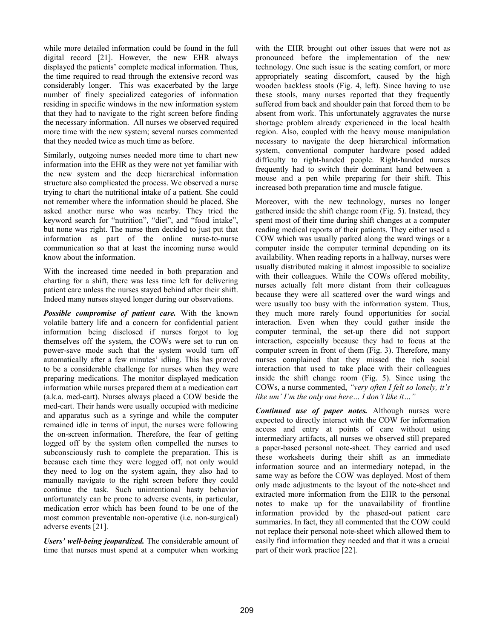while more detailed information could be found in the full digital record [21]. However, the new EHR always displayed the patients' complete medical information. Thus, the time required to read through the extensive record was considerably longer. This was exacerbated by the large number of finely specialized categories of information residing in specific windows in the new information system that they had to navigate to the right screen before finding the necessary information. All nurses we observed required more time with the new system; several nurses commented that they needed twice as much time as before.

Similarly, outgoing nurses needed more time to chart new information into the EHR as they were not yet familiar with the new system and the deep hierarchical information structure also complicated the process. We observed a nurse trying to chart the nutritional intake of a patient. She could not remember where the information should be placed. She asked another nurse who was nearby. They tried the keyword search for "nutrition", "diet", and "food intake", but none was right. The nurse then decided to just put that information as part of the online nurse-to-nurse communication so that at least the incoming nurse would know about the information.

With the increased time needed in both preparation and charting for a shift, there was less time left for delivering patient care unless the nurses stayed behind after their shift. Indeed many nurses stayed longer during our observations.

*Possible compromise of patient care.* With the known volatile battery life and a concern for confidential patient information being disclosed if nurses forgot to log themselves off the system, the COWs were set to run on power-save mode such that the system would turn off automatically after a few minutes' idling. This has proved to be a considerable challenge for nurses when they were preparing medications. The monitor displayed medication information while nurses prepared them at a medication cart (a.k.a. med-cart). Nurses always placed a COW beside the med-cart. Their hands were usually occupied with medicine and apparatus such as a syringe and while the computer remained idle in terms of input, the nurses were following the on-screen information. Therefore, the fear of getting logged off by the system often compelled the nurses to subconsciously rush to complete the preparation. This is because each time they were logged off, not only would they need to log on the system again, they also had to manually navigate to the right screen before they could continue the task. Such unintentional hasty behavior unfortunately can be prone to adverse events, in particular, medication error which has been found to be one of the most common preventable non-operative (i.e. non-surgical) adverse events [21].

*Users' well-being jeopardized.* The considerable amount of time that nurses must spend at a computer when working with the EHR brought out other issues that were not as pronounced before the implementation of the new technology. One such issue is the seating comfort, or more appropriately seating discomfort, caused by the high wooden backless stools (Fig. 4, left). Since having to use these stools, many nurses reported that they frequently suffered from back and shoulder pain that forced them to be absent from work. This unfortunately aggravates the nurse shortage problem already experienced in the local health region. Also, coupled with the heavy mouse manipulation necessary to navigate the deep hierarchical information system, conventional computer hardware posed added difficulty to right-handed people. Right-handed nurses frequently had to switch their dominant hand between a mouse and a pen while preparing for their shift. This increased both preparation time and muscle fatigue.

Moreover, with the new technology, nurses no longer gathered inside the shift change room (Fig. 5). Instead, they spent most of their time during shift changes at a computer reading medical reports of their patients. They either used a COW which was usually parked along the ward wings or a computer inside the computer terminal depending on its availability. When reading reports in a hallway, nurses were usually distributed making it almost impossible to socialize with their colleagues. While the COWs offered mobility, nurses actually felt more distant from their colleagues because they were all scattered over the ward wings and were usually too busy with the information system. Thus, they much more rarely found opportunities for social interaction. Even when they could gather inside the computer terminal, the set-up there did not support interaction, especially because they had to focus at the computer screen in front of them (Fig. 3). Therefore, many nurses complained that they missed the rich social interaction that used to take place with their colleagues inside the shift change room (Fig. 5). Since using the COWs, a nurse commented, *"very often I felt so lonely, it's like um' I'm the only one here… I don't like it…"*

*Continued use of paper notes.* Although nurses were expected to directly interact with the COW for information access and entry at points of care without using intermediary artifacts, all nurses we observed still prepared a paper-based personal note-sheet. They carried and used these worksheets during their shift as an immediate information source and an intermediary notepad, in the same way as before the COW was deployed. Most of them only made adjustments to the layout of the note-sheet and extracted more information from the EHR to the personal notes to make up for the unavailability of frontline information provided by the phased-out patient care summaries. In fact, they all commented that the COW could not replace their personal note-sheet which allowed them to easily find information they needed and that it was a crucial part of their work practice [22].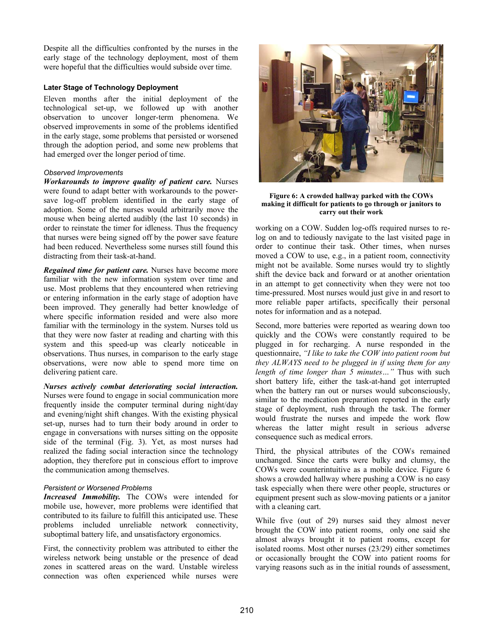Despite all the difficulties confronted by the nurses in the early stage of the technology deployment, most of them were hopeful that the difficulties would subside over time.

## **Later Stage of Technology Deployment**

Eleven months after the initial deployment of the technological set-up, we followed up with another observation to uncover longer-term phenomena. We observed improvements in some of the problems identified in the early stage, some problems that persisted or worsened through the adoption period, and some new problems that had emerged over the longer period of time.

## *Observed Improvements*

*Workarounds to improve quality of patient care.* Nurses were found to adapt better with workarounds to the powersave log-off problem identified in the early stage of adoption. Some of the nurses would arbitrarily move the mouse when being alerted audibly (the last 10 seconds) in order to reinstate the timer for idleness. Thus the frequency that nurses were being signed off by the power save feature had been reduced. Nevertheless some nurses still found this distracting from their task-at-hand.

*Regained time for patient care.* Nurses have become more familiar with the new information system over time and use. Most problems that they encountered when retrieving or entering information in the early stage of adoption have been improved. They generally had better knowledge of where specific information resided and were also more familiar with the terminology in the system. Nurses told us that they were now faster at reading and charting with this system and this speed-up was clearly noticeable in observations. Thus nurses, in comparison to the early stage observations, were now able to spend more time on delivering patient care.

*Nurses actively combat deteriorating social interaction.* Nurses were found to engage in social communication more frequently inside the computer terminal during night/day and evening/night shift changes. With the existing physical set-up, nurses had to turn their body around in order to engage in conversations with nurses sitting on the opposite side of the terminal (Fig. 3). Yet, as most nurses had realized the fading social interaction since the technology adoption, they therefore put in conscious effort to improve the communication among themselves.

# *Persistent or Worsened Problems*

*Increased Immobility.* The COWs were intended for mobile use, however, more problems were identified that contributed to its failure to fulfill this anticipated use. These problems included unreliable network connectivity, suboptimal battery life, and unsatisfactory ergonomics.

First, the connectivity problem was attributed to either the wireless network being unstable or the presence of dead zones in scattered areas on the ward. Unstable wireless connection was often experienced while nurses were



**Figure 6: A crowded hallway parked with the COWs making it difficult for patients to go through or janitors to carry out their work** 

working on a COW. Sudden log-offs required nurses to relog on and to tediously navigate to the last visited page in order to continue their task. Other times, when nurses moved a COW to use, e.g., in a patient room, connectivity might not be available. Some nurses would try to slightly shift the device back and forward or at another orientation in an attempt to get connectivity when they were not too time-pressured. Most nurses would just give in and resort to more reliable paper artifacts, specifically their personal notes for information and as a notepad.

Second, more batteries were reported as wearing down too quickly and the COWs were constantly required to be plugged in for recharging. A nurse responded in the questionnaire, *"I like to take the COW into patient room but they ALWAYS need to be plugged in if using them for any length of time longer than 5 minutes…"* Thus with such short battery life, either the task-at-hand got interrupted when the battery ran out or nurses would subconsciously, similar to the medication preparation reported in the early stage of deployment, rush through the task. The former would frustrate the nurses and impede the work flow whereas the latter might result in serious adverse consequence such as medical errors.

Third, the physical attributes of the COWs remained unchanged. Since the carts were bulky and clumsy, the COWs were counterintuitive as a mobile device. Figure 6 shows a crowded hallway where pushing a COW is no easy task especially when there were other people, structures or equipment present such as slow-moving patients or a janitor with a cleaning cart.

While five (out of 29) nurses said they almost never brought the COW into patient rooms, only one said she almost always brought it to patient rooms, except for isolated rooms. Most other nurses (23/29) either sometimes or occasionally brought the COW into patient rooms for varying reasons such as in the initial rounds of assessment,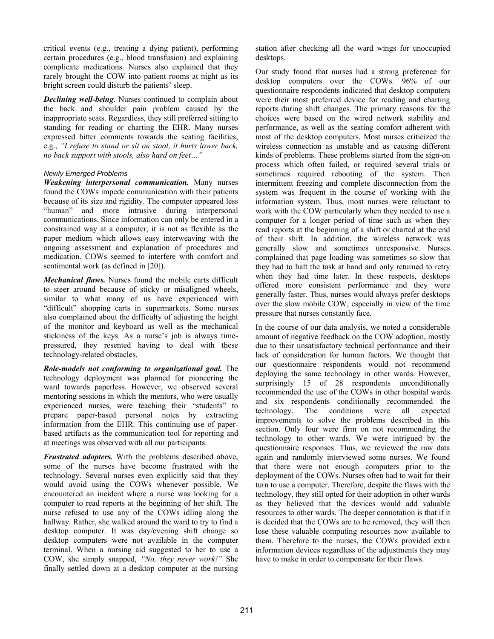critical events (e.g., treating a dying patient), performing certain procedures (e.g., blood transfusion) and explaining complicate medications. Nurses also explained that they rarely brought the COW into patient rooms at night as its bright screen could disturb the patients' sleep.

*Declining well-being*. Nurses continued to complain about the back and shoulder pain problem caused by the inappropriate seats. Regardless, they still preferred sitting to standing for reading or charting the EHR. Many nurses expressed bitter comments towards the seating facilities, e.g., *"I refuse to stand or sit on stool, it hurts lower back, no back support with stools, also hard on feet…"*

# *Newly Emerged Problems*

*Weakening interpersonal communication.* Many nurses found the COWs impede communication with their patients because of its size and rigidity. The computer appeared less "human" and more intrusive during interpersonal communications. Since information can only be entered in a constrained way at a computer, it is not as flexible as the paper medium which allows easy interweaving with the ongoing assessment and explanation of procedures and medication. COWs seemed to interfere with comfort and sentimental work (as defined in [20]).

*Mechanical flaws.* Nurses found the mobile carts difficult to steer around because of sticky or misaligned wheels, similar to what many of us have experienced with "difficult" shopping carts in supermarkets. Some nurses also complained about the difficulty of adjusting the height of the monitor and keyboard as well as the mechanical stickiness of the keys. As a nurse's job is always timepressured, they resented having to deal with these technology-related obstacles.

*Role-models not conforming to organizational goal.* The technology deployment was planned for pioneering the ward towards paperless. However, we observed several mentoring sessions in which the mentors, who were usually experienced nurses, were teaching their "students" to prepare paper-based personal notes by extracting information from the EHR. This continuing use of paperbased artifacts as the communication tool for reporting and at meetings was observed with all our participants.

*Frustrated adopters.* With the problems described above, some of the nurses have become frustrated with the technology. Several nurses even explicitly said that they would avoid using the COWs whenever possible. We encountered an incident where a nurse was looking for a computer to read reports at the beginning of her shift. The nurse refused to use any of the COWs idling along the hallway. Rather, she walked around the ward to try to find a desktop computer. It was day/evening shift change so desktop computers were not available in the computer terminal. When a nursing aid suggested to her to use a COW, she simply snapped, *"No, they never work!"* She finally settled down at a desktop computer at the nursing station after checking all the ward wings for unoccupied desktops.

Our study found that nurses had a strong preference for desktop computers over the COWs. 96% of our questionnaire respondents indicated that desktop computers were their most preferred device for reading and charting reports during shift changes. The primary reasons for the choices were based on the wired network stability and performance, as well as the seating comfort adherent with most of the desktop computers. Most nurses criticized the wireless connection as unstable and as causing different kinds of problems. These problems started from the sign-on process which often failed, or required several trials or sometimes required rebooting of the system. Then intermittent freezing and complete disconnection from the system was frequent in the course of working with the information system. Thus, most nurses were reluctant to work with the COW particularly when they needed to use a computer for a longer period of time such as when they read reports at the beginning of a shift or charted at the end of their shift. In addition, the wireless network was generally slow and sometimes unresponsive. Nurses complained that page loading was sometimes so slow that they had to halt the task at hand and only returned to retry when they had time later. In these respects, desktops offered more consistent performance and they were generally faster. Thus, nurses would always prefer desktops over the slow mobile COW, especially in view of the time pressure that nurses constantly face.

In the course of our data analysis, we noted a considerable amount of negative feedback on the COW adoption, mostly due to their unsatisfactory technical performance and their lack of consideration for human factors. We thought that our questionnaire respondents would not recommend deploying the same technology in other wards. However, surprisingly 15 of 28 respondents unconditionally recommended the use of the COWs in other hospital wards and six respondents conditionally recommended the technology. The conditions were all expected improvements to solve the problems described in this section. Only four were firm on not recommending the technology to other wards. We were intrigued by the questionnaire responses. Thus, we reviewed the raw data again and randomly interviewed some nurses. We found that there were not enough computers prior to the deployment of the COWs. Nurses often had to wait for their turn to use a computer. Therefore, despite the flaws with the technology, they still opted for their adoption in other wards as they believed that the devices would add valuable resources to other wards. The deeper connotation is that if it is decided that the COWs are to be removed, they will then lose these valuable computing resources now available to them. Therefore to the nurses, the COWs provided extra information devices regardless of the adjustments they may have to make in order to compensate for their flaws.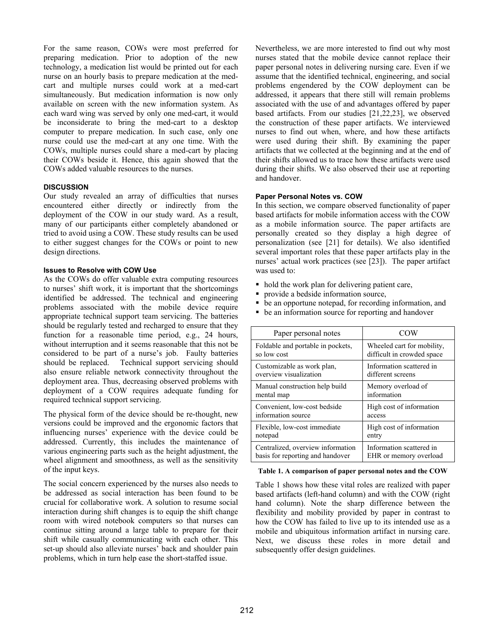For the same reason, COWs were most preferred for preparing medication. Prior to adoption of the new technology, a medication list would be printed out for each nurse on an hourly basis to prepare medication at the medcart and multiple nurses could work at a med-cart simultaneously. But medication information is now only available on screen with the new information system. As each ward wing was served by only one med-cart, it would be inconsiderate to bring the med-cart to a desktop computer to prepare medication. In such case, only one nurse could use the med-cart at any one time. With the COWs, multiple nurses could share a med-cart by placing their COWs beside it. Hence, this again showed that the COWs added valuable resources to the nurses.

## **DISCUSSION**

Our study revealed an array of difficulties that nurses encountered either directly or indirectly from the deployment of the COW in our study ward. As a result, many of our participants either completely abandoned or tried to avoid using a COW. These study results can be used to either suggest changes for the COWs or point to new design directions.

## **Issues to Resolve with COW Use**

As the COWs do offer valuable extra computing resources to nurses' shift work, it is important that the shortcomings identified be addressed. The technical and engineering problems associated with the mobile device require appropriate technical support team servicing. The batteries should be regularly tested and recharged to ensure that they function for a reasonable time period, e.g., 24 hours, without interruption and it seems reasonable that this not be considered to be part of a nurse's job. Faulty batteries should be replaced. Technical support servicing should also ensure reliable network connectivity throughout the deployment area. Thus, decreasing observed problems with deployment of a COW requires adequate funding for required technical support servicing.

The physical form of the device should be re-thought, new versions could be improved and the ergonomic factors that influencing nurses' experience with the device could be addressed. Currently, this includes the maintenance of various engineering parts such as the height adjustment, the wheel alignment and smoothness, as well as the sensitivity of the input keys.

The social concern experienced by the nurses also needs to be addressed as social interaction has been found to be crucial for collaborative work. A solution to resume social interaction during shift changes is to equip the shift change room with wired notebook computers so that nurses can continue sitting around a large table to prepare for their shift while casually communicating with each other. This set-up should also alleviate nurses' back and shoulder pain problems, which in turn help ease the short-staffed issue.

Nevertheless, we are more interested to find out why most nurses stated that the mobile device cannot replace their paper personal notes in delivering nursing care. Even if we assume that the identified technical, engineering, and social problems engendered by the COW deployment can be addressed, it appears that there still will remain problems associated with the use of and advantages offered by paper based artifacts. From our studies [21,22,23], we observed the construction of these paper artifacts. We interviewed nurses to find out when, where, and how these artifacts were used during their shift. By examining the paper artifacts that we collected at the beginning and at the end of their shifts allowed us to trace how these artifacts were used during their shifts. We also observed their use at reporting and handover.

## **Paper Personal Notes vs. COW**

In this section, we compare observed functionality of paper based artifacts for mobile information access with the COW as a mobile information source. The paper artifacts are personally created so they display a high degree of personalization (see [21] for details). We also identified several important roles that these paper artifacts play in the nurses' actual work practices (see [23]). The paper artifact was used to:

- hold the work plan for delivering patient care,
- provide a bedside information source,
- be an opportune notepad, for recording information, and
- be an information source for reporting and handover

| Paper personal notes              | COW                        |
|-----------------------------------|----------------------------|
| Foldable and portable in pockets, | Wheeled cart for mobility, |
| so low cost                       | difficult in crowded space |
| Customizable as work plan,        | Information scattered in   |
| overview visualization            | different screens          |
| Manual construction help build    | Memory overload of         |
| mental map                        | information                |
| Convenient, low-cost bedside      | High cost of information   |
| information source                | access                     |
| Flexible, low-cost immediate      | High cost of information   |
| notepad                           | entry                      |
| Centralized, overview information | Information scattered in   |
| basis for reporting and handover  | EHR or memory overload     |

## **Table 1. A comparison of paper personal notes and the COW**

Table 1 shows how these vital roles are realized with paper based artifacts (left-hand column) and with the COW (right hand column). Note the sharp difference between the flexibility and mobility provided by paper in contrast to how the COW has failed to live up to its intended use as a mobile and ubiquitous information artifact in nursing care. Next, we discuss these roles in more detail and subsequently offer design guidelines.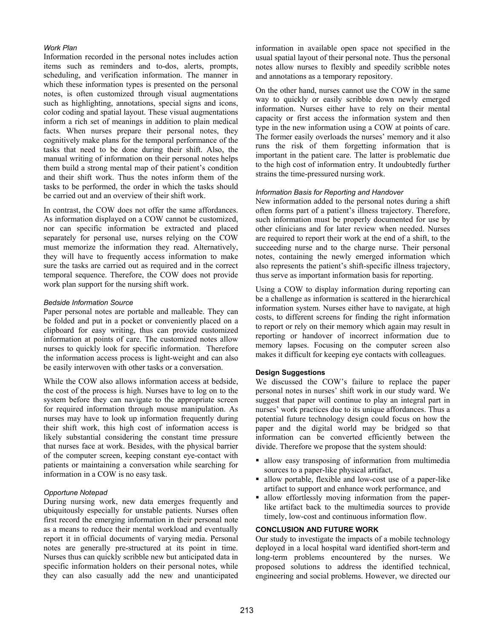## *Work Plan*

Information recorded in the personal notes includes action items such as reminders and to-dos, alerts, prompts, scheduling, and verification information. The manner in which these information types is presented on the personal notes, is often customized through visual augmentations such as highlighting, annotations, special signs and icons, color coding and spatial layout. These visual augmentations inform a rich set of meanings in addition to plain medical facts. When nurses prepare their personal notes, they cognitively make plans for the temporal performance of the tasks that need to be done during their shift. Also, the manual writing of information on their personal notes helps them build a strong mental map of their patient's condition and their shift work. Thus the notes inform them of the tasks to be performed, the order in which the tasks should be carried out and an overview of their shift work.

In contrast, the COW does not offer the same affordances. As information displayed on a COW cannot be customized, nor can specific information be extracted and placed separately for personal use, nurses relying on the COW must memorize the information they read. Alternatively, they will have to frequently access information to make sure the tasks are carried out as required and in the correct temporal sequence. Therefore, the COW does not provide work plan support for the nursing shift work.

### *Bedside Information Source*

Paper personal notes are portable and malleable. They can be folded and put in a pocket or conveniently placed on a clipboard for easy writing, thus can provide customized information at points of care. The customized notes allow nurses to quickly look for specific information. Therefore the information access process is light-weight and can also be easily interwoven with other tasks or a conversation.

While the COW also allows information access at bedside, the cost of the process is high. Nurses have to log on to the system before they can navigate to the appropriate screen for required information through mouse manipulation. As nurses may have to look up information frequently during their shift work, this high cost of information access is likely substantial considering the constant time pressure that nurses face at work. Besides, with the physical barrier of the computer screen, keeping constant eye-contact with patients or maintaining a conversation while searching for information in a COW is no easy task.

## *Opportune Notepad*

During nursing work, new data emerges frequently and ubiquitously especially for unstable patients. Nurses often first record the emerging information in their personal note as a means to reduce their mental workload and eventually report it in official documents of varying media. Personal notes are generally pre-structured at its point in time. Nurses thus can quickly scribble new but anticipated data in specific information holders on their personal notes, while they can also casually add the new and unanticipated

information in available open space not specified in the usual spatial layout of their personal note. Thus the personal notes allow nurses to flexibly and speedily scribble notes and annotations as a temporary repository.

On the other hand, nurses cannot use the COW in the same way to quickly or easily scribble down newly emerged information. Nurses either have to rely on their mental capacity or first access the information system and then type in the new information using a COW at points of care. The former easily overloads the nurses' memory and it also runs the risk of them forgetting information that is important in the patient care. The latter is problematic due to the high cost of information entry. It undoubtedly further strains the time-pressured nursing work.

### *Information Basis for Reporting and Handover*

New information added to the personal notes during a shift often forms part of a patient's illness trajectory. Therefore, such information must be properly documented for use by other clinicians and for later review when needed. Nurses are required to report their work at the end of a shift, to the succeeding nurse and to the charge nurse. Their personal notes, containing the newly emerged information which also represents the patient's shift-specific illness trajectory, thus serve as important information basis for reporting.

Using a COW to display information during reporting can be a challenge as information is scattered in the hierarchical information system. Nurses either have to navigate, at high costs, to different screens for finding the right information to report or rely on their memory which again may result in reporting or handover of incorrect information due to memory lapses. Focusing on the computer screen also makes it difficult for keeping eye contacts with colleagues.

## **Design Suggestions**

We discussed the COW's failure to replace the paper personal notes in nurses' shift work in our study ward. We suggest that paper will continue to play an integral part in nurses' work practices due to its unique affordances. Thus a potential future technology design could focus on how the paper and the digital world may be bridged so that information can be converted efficiently between the divide. Therefore we propose that the system should:

- allow easy transposing of information from multimedia sources to a paper-like physical artifact,
- allow portable, flexible and low-cost use of a paper-like artifact to support and enhance work performance, and
- allow effortlessly moving information from the paperlike artifact back to the multimedia sources to provide timely, low-cost and continuous information flow.

## **CONCLUSION AND FUTURE WORK**

Our study to investigate the impacts of a mobile technology deployed in a local hospital ward identified short-term and long-term problems encountered by the nurses. We proposed solutions to address the identified technical, engineering and social problems. However, we directed our